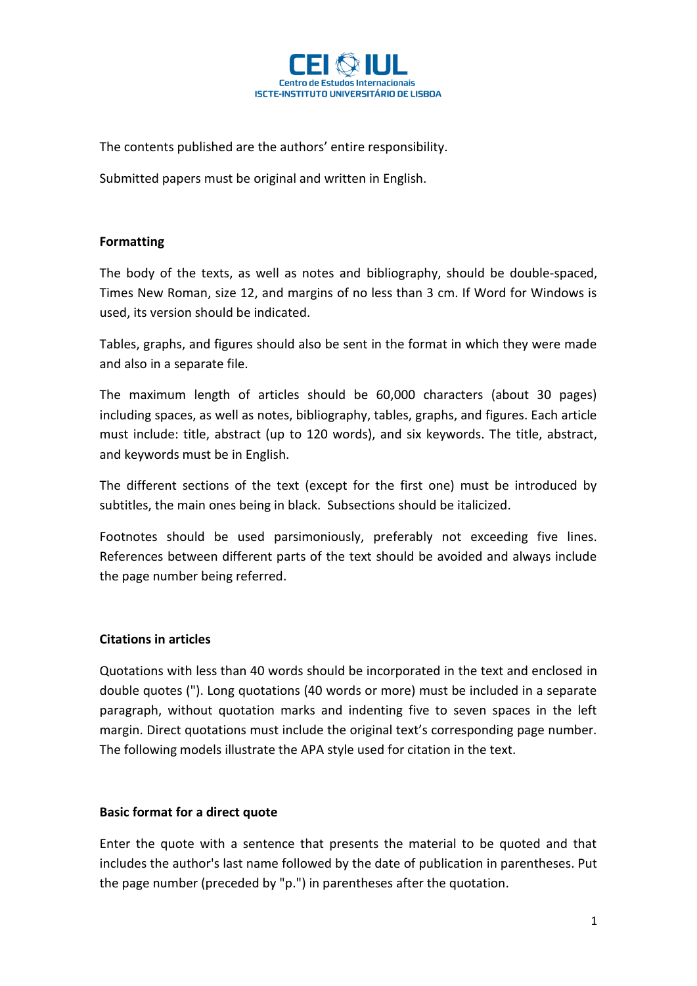

The contents published are the authors' entire responsibility.

Submitted papers must be original and written in English.

## **Formatting**

The body of the texts, as well as notes and bibliography, should be double-spaced, Times New Roman, size 12, and margins of no less than 3 cm. If Word for Windows is used, its version should be indicated.

Tables, graphs, and figures should also be sent in the format in which they were made and also in a separate file.

The maximum length of articles should be 60,000 characters (about 30 pages) including spaces, as well as notes, bibliography, tables, graphs, and figures. Each article must include: title, abstract (up to 120 words), and six keywords. The title, abstract, and keywords must be in English.

The different sections of the text (except for the first one) must be introduced by subtitles, the main ones being in black. Subsections should be italicized.

Footnotes should be used parsimoniously, preferably not exceeding five lines. References between different parts of the text should be avoided and always include the page number being referred.

# **Citations in articles**

Quotations with less than 40 words should be incorporated in the text and enclosed in double quotes ("). Long quotations (40 words or more) must be included in a separate paragraph, without quotation marks and indenting five to seven spaces in the left margin. Direct quotations must include the original text's corresponding page number. The following models illustrate the APA style used for citation in the text.

### **Basic format for a direct quote**

Enter the quote with a sentence that presents the material to be quoted and that includes the author's last name followed by the date of publication in parentheses. Put the page number (preceded by "p.") in parentheses after the quotation.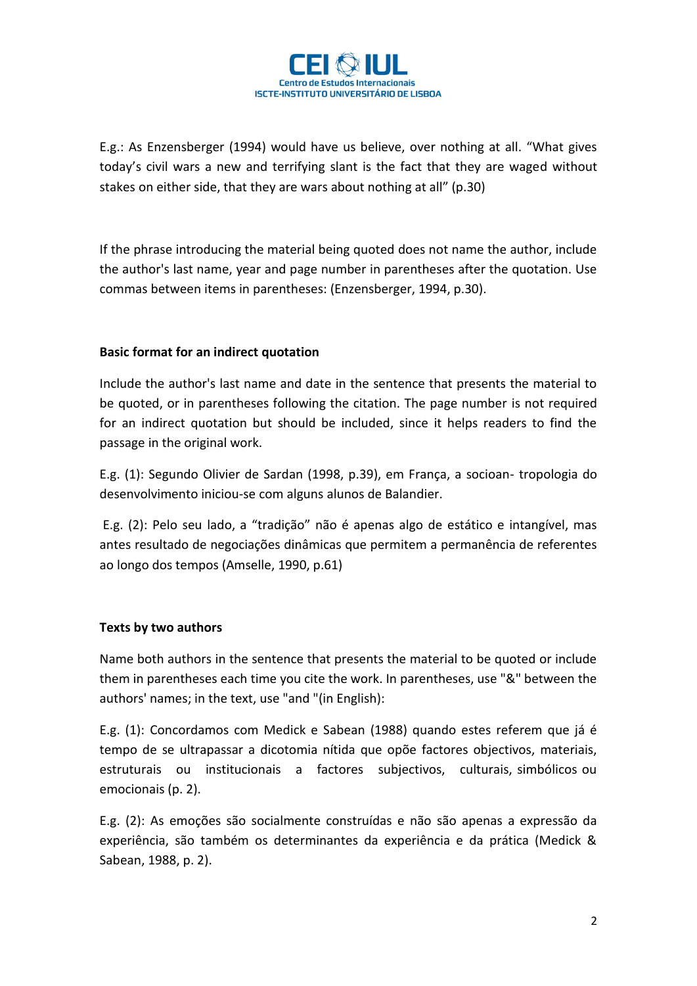

E.g.: As Enzensberger (1994) would have us believe, over nothing at all. "What gives today's civil wars a new and terrifying slant is the fact that they are waged without stakes on either side, that they are wars about nothing at all" (p.30)

If the phrase introducing the material being quoted does not name the author, include the author's last name, year and page number in parentheses after the quotation. Use commas between items in parentheses: (Enzensberger, 1994, p.30).

# **Basic format for an indirect quotation**

Include the author's last name and date in the sentence that presents the material to be quoted, or in parentheses following the citation. The page number is not required for an indirect quotation but should be included, since it helps readers to find the passage in the original work.

E.g. (1): Segundo Olivier de Sardan (1998, p.39), em França, a socioan- tropologia do desenvolvimento iniciou-se com alguns alunos de Balandier.

E.g. (2): Pelo seu lado, a "tradição" não é apenas algo de estático e intangível, mas antes resultado de negociações dinâmicas que permitem a permanência de referentes ao longo dos tempos (Amselle, 1990, p.61)

### **Texts by two authors**

Name both authors in the sentence that presents the material to be quoted or include them in parentheses each time you cite the work. In parentheses, use "&" between the authors' names; in the text, use "and "(in English):

E.g. (1): Concordamos com Medick e Sabean (1988) quando estes referem que já é tempo de se ultrapassar a dicotomia nítida que opõe factores objectivos, materiais, estruturais ou institucionais a factores subjectivos, culturais, simbólicos ou emocionais (p. 2).

E.g. (2): As emoções são socialmente construídas e não são apenas a expressão da experiência, são também os determinantes da experiência e da prática (Medick & Sabean, 1988, p. 2).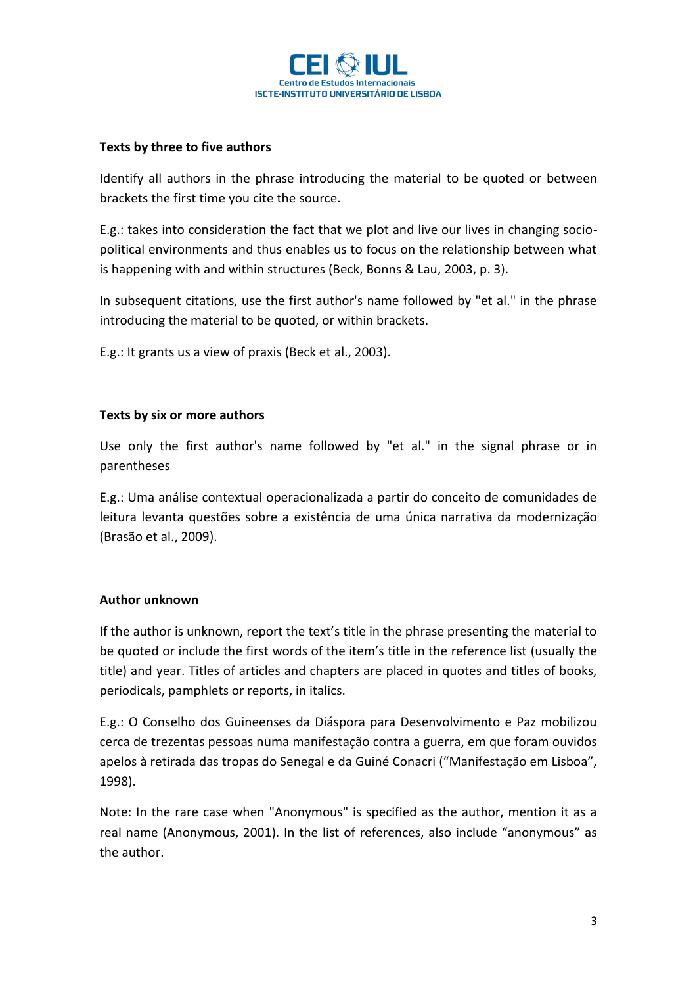

## **Texts by three to five authors**

Identify all authors in the phrase introducing the material to be quoted or between brackets the first time you cite the source.

E.g.: takes into consideration the fact that we plot and live our lives in changing sociopolitical environments and thus enables us to focus on the relationship between what is happening with and within structures (Beck, Bonns & Lau, 2003, p. 3).

In subsequent citations, use the first author's name followed by "et al." in the phrase introducing the material to be quoted, or within brackets.

E.g.: It grants us a view of praxis (Beck et al., 2003).

## **Texts by six or more authors**

Use only the first author's name followed by "et al." in the signal phrase or in parentheses

E.g.: Uma análise contextual operacionalizada a partir do conceito de comunidades de leitura levanta questões sobre a existência de uma única narrativa da modernização (Brasão et al., 2009).

### **Author unknown**

If the author is unknown, report the text's title in the phrase presenting the material to be quoted or include the first words of the item's title in the reference list (usually the title) and year. Titles of articles and chapters are placed in quotes and titles of books, periodicals, pamphlets or reports, in italics.

E.g.: O Conselho dos Guineenses da Diáspora para Desenvolvimento e Paz mobilizou cerca de trezentas pessoas numa manifestação contra a guerra, em que foram ouvidos apelos à retirada das tropas do Senegal e da Guiné Conacri ("Manifestação em Lisboa", 1998).

Note: In the rare case when "Anonymous" is specified as the author, mention it as a real name (Anonymous, 2001). In the list of references, also include "anonymous" as the author.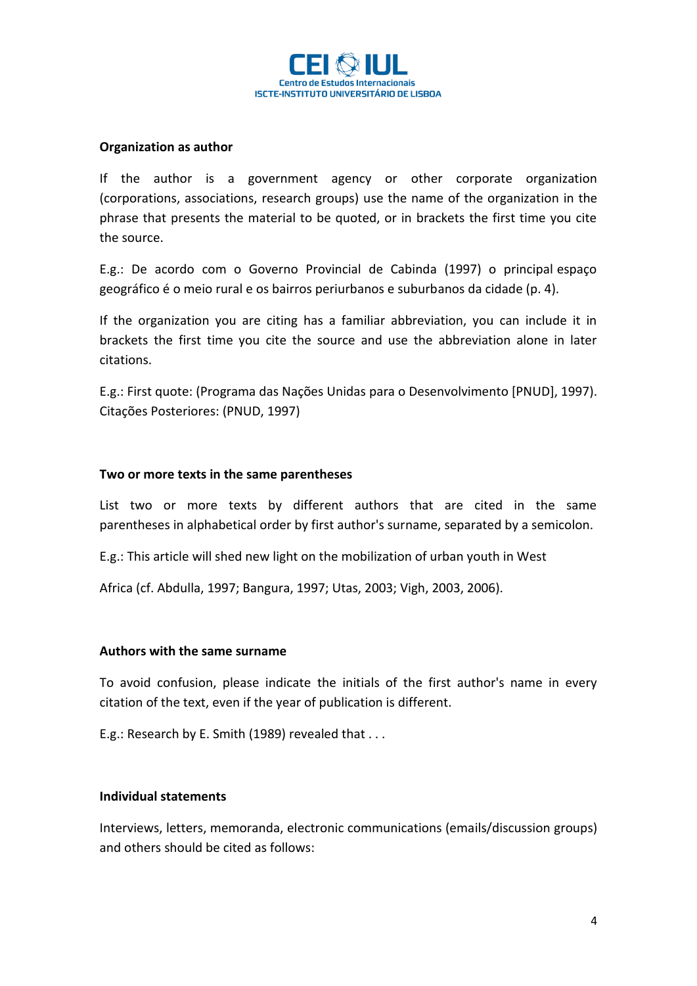

#### **Organization as author**

If the author is a government agency or other corporate organization (corporations, associations, research groups) use the name of the organization in the phrase that presents the material to be quoted, or in brackets the first time you cite the source.

E.g.: De acordo com o Governo Provincial de Cabinda (1997) o principal espaço geográfico é o meio rural e os bairros periurbanos e suburbanos da cidade (p. 4).

If the organization you are citing has a familiar abbreviation, you can include it in brackets the first time you cite the source and use the abbreviation alone in later citations.

E.g.: First quote: (Programa das Nações Unidas para o Desenvolvimento [PNUD], 1997). Citações Posteriores: (PNUD, 1997)

#### **Two or more texts in the same parentheses**

List two or more texts by different authors that are cited in the same parentheses in alphabetical order by first author's surname, separated by a semicolon.

E.g.: This article will shed new light on the mobilization of urban youth in West

Africa (cf. Abdulla, 1997; Bangura, 1997; Utas, 2003; Vigh, 2003, 2006).

#### **Authors with the same surname**

To avoid confusion, please indicate the initials of the first author's name in every citation of the text, even if the year of publication is different.

E.g.: Research by E. Smith (1989) revealed that . . .

### **Individual statements**

Interviews, letters, memoranda, electronic communications (emails/discussion groups) and others should be cited as follows: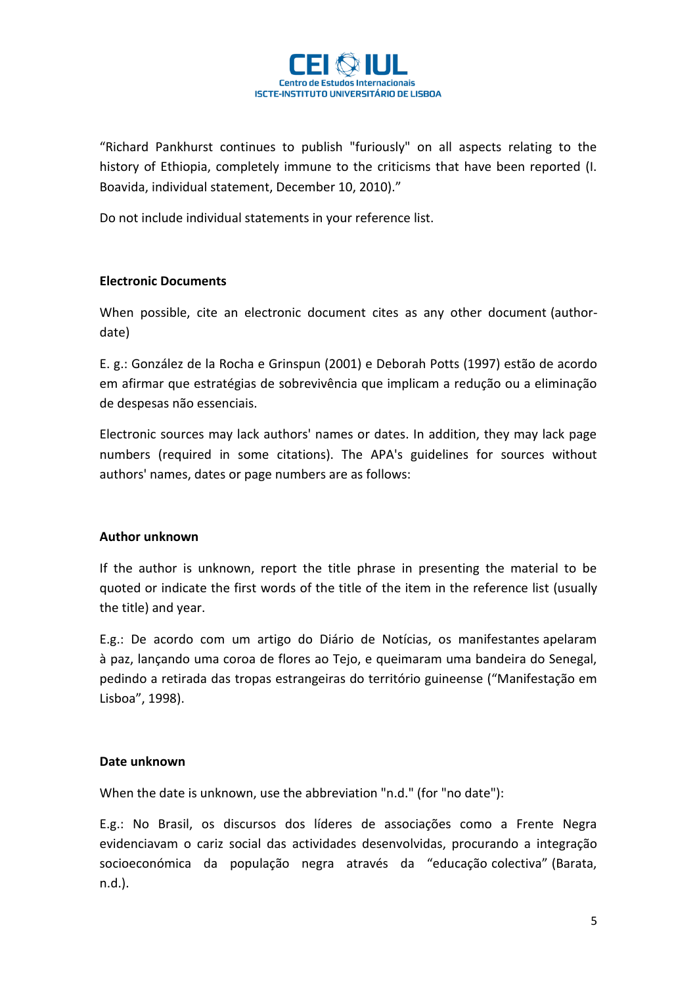

"Richard Pankhurst continues to publish "furiously" on all aspects relating to the history of Ethiopia, completely immune to the criticisms that have been reported (I. Boavida, individual statement, December 10, 2010)."

Do not include individual statements in your reference list.

## **Electronic Documents**

When possible, cite an electronic document cites as any other document (authordate)

E. g.: González de la Rocha e Grinspun (2001) e Deborah Potts (1997) estão de acordo em afirmar que estratégias de sobrevivência que implicam a redução ou a eliminação de despesas não essenciais.

Electronic sources may lack authors' names or dates. In addition, they may lack page numbers (required in some citations). The APA's guidelines for sources without authors' names, dates or page numbers are as follows:

### **Author unknown**

If the author is unknown, report the title phrase in presenting the material to be quoted or indicate the first words of the title of the item in the reference list (usually the title) and year.

E.g.: De acordo com um artigo do Diário de Notícias, os manifestantes apelaram à paz, lançando uma coroa de flores ao Tejo, e queimaram uma bandeira do Senegal, pedindo a retirada das tropas estrangeiras do território guineense ("Manifestação em Lisboa", 1998).

### **Date unknown**

When the date is unknown, use the abbreviation "n.d." (for "no date"):

E.g.: No Brasil, os discursos dos líderes de associações como a Frente Negra evidenciavam o cariz social das actividades desenvolvidas, procurando a integração socioeconómica da população negra através da "educação colectiva" (Barata, n.d.).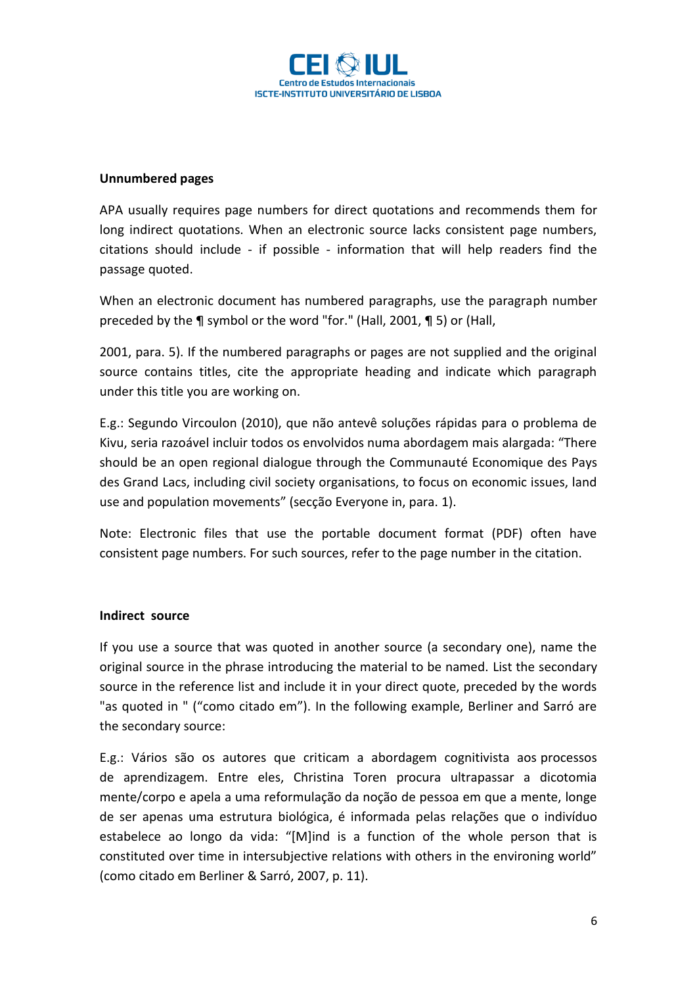

### **Unnumbered pages**

APA usually requires page numbers for direct quotations and recommends them for long indirect quotations. When an electronic source lacks consistent page numbers, citations should include - if possible - information that will help readers find the passage quoted.

When an electronic document has numbered paragraphs, use the paragraph number preceded by the ¶ symbol or the word "for." (Hall, 2001, ¶ 5) or (Hall,

2001, para. 5). If the numbered paragraphs or pages are not supplied and the original source contains titles, cite the appropriate heading and indicate which paragraph under this title you are working on.

E.g.: Segundo Vircoulon (2010), que não antevê soluções rápidas para o problema de Kivu, seria razoável incluir todos os envolvidos numa abordagem mais alargada: "There should be an open regional dialogue through the Communauté Economique des Pays des Grand Lacs, including civil society organisations, to focus on economic issues, land use and population movements" (secção Everyone in, para. 1).

Note: Electronic files that use the portable document format (PDF) often have consistent page numbers. For such sources, refer to the page number in the citation.

### **Indirect source**

If you use a source that was quoted in another source (a secondary one), name the original source in the phrase introducing the material to be named. List the secondary source in the reference list and include it in your direct quote, preceded by the words "as quoted in " ("como citado em"). In the following example, Berliner and Sarró are the secondary source:

E.g.: Vários são os autores que criticam a abordagem cognitivista aos processos de aprendizagem. Entre eles, Christina Toren procura ultrapassar a dicotomia mente/corpo e apela a uma reformulação da noção de pessoa em que a mente, longe de ser apenas uma estrutura biológica, é informada pelas relações que o indivíduo estabelece ao longo da vida: "[M]ind is a function of the whole person that is constituted over time in intersubjective relations with others in the environing world" (como citado em Berliner & Sarró, 2007, p. 11).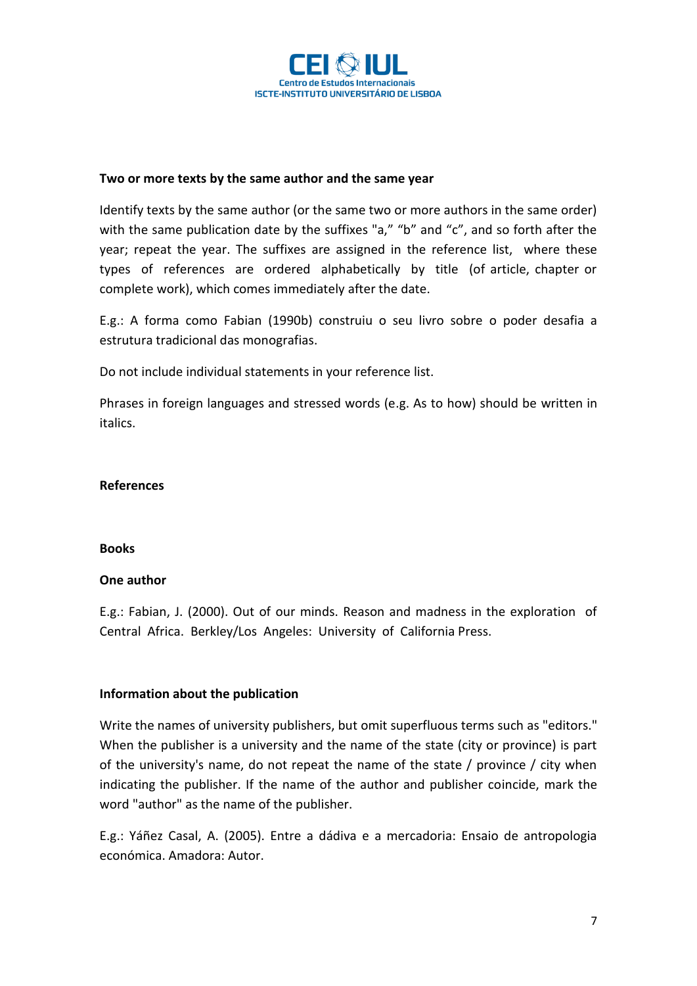

### **Two or more texts by the same author and the same year**

Identify texts by the same author (or the same two or more authors in the same order) with the same publication date by the suffixes "a," "b" and "c", and so forth after the year; repeat the year. The suffixes are assigned in the reference list, where these types of references are ordered alphabetically by title (of article, chapter or complete work), which comes immediately after the date.

E.g.: A forma como Fabian (1990b) construiu o seu livro sobre o poder desafia a estrutura tradicional das monografias.

Do not include individual statements in your reference list.

Phrases in foreign languages and stressed words (e.g. As to how) should be written in italics.

### **References**

### **Books**

### **One author**

E.g.: Fabian, J. (2000). Out of our minds. Reason and madness in the exploration of Central Africa. Berkley/Los Angeles: University of California Press.

### **Information about the publication**

Write the names of university publishers, but omit superfluous terms such as "editors." When the publisher is a university and the name of the state (city or province) is part of the university's name, do not repeat the name of the state / province / city when indicating the publisher. If the name of the author and publisher coincide, mark the word "author" as the name of the publisher.

E.g.: Yáñez Casal, A. (2005). Entre a dádiva e a mercadoria: Ensaio de antropologia económica. Amadora: Autor.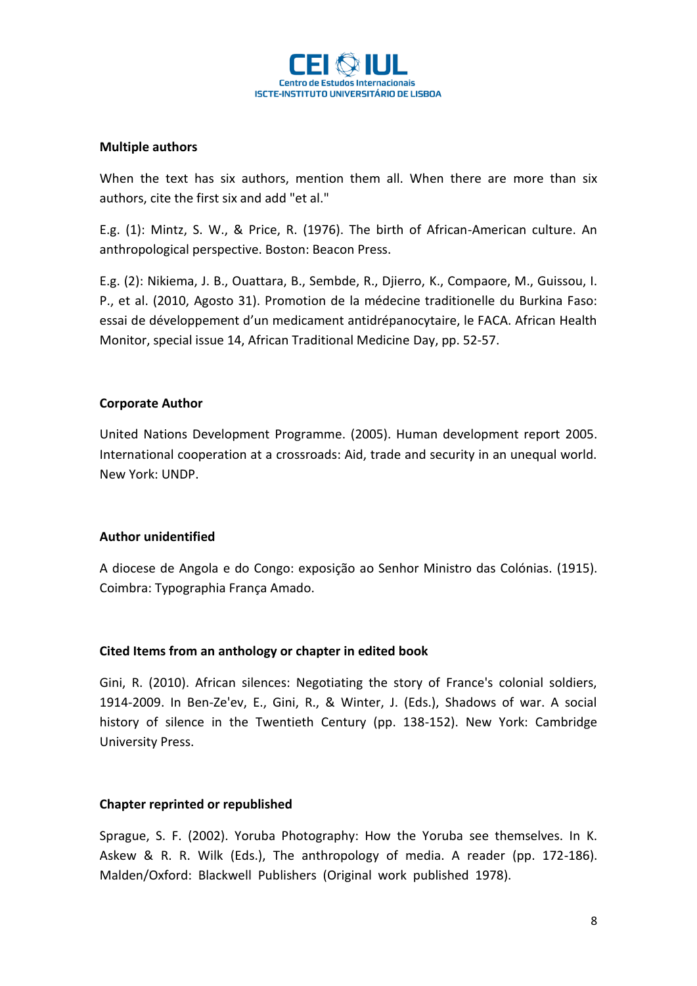

## **Multiple authors**

When the text has six authors, mention them all. When there are more than six authors, cite the first six and add "et al."

E.g. (1): Mintz, S. W., & Price, R. (1976). The birth of African-American culture. An anthropological perspective. Boston: Beacon Press.

E.g. (2): Nikiema, J. B., Ouattara, B., Sembde, R., Djierro, K., Compaore, M., Guissou, I. P., et al. (2010, Agosto 31). Promotion de la médecine traditionelle du Burkina Faso: essai de développement d'un medicament antidrépanocytaire, le FACA. African Health Monitor, special issue 14, African Traditional Medicine Day, pp. 52-57.

## **Corporate Author**

United Nations Development Programme. (2005). Human development report 2005. International cooperation at a crossroads: Aid, trade and security in an unequal world. New York: UNDP.

### **Author unidentified**

A diocese de Angola e do Congo: exposição ao Senhor Ministro das Colónias. (1915). Coimbra: Typographia França Amado.

### **Cited Items from an anthology or chapter in edited book**

Gini, R. (2010). African silences: Negotiating the story of France's colonial soldiers, 1914-2009. In Ben-Ze'ev, E., Gini, R., & Winter, J. (Eds.), Shadows of war. A social history of silence in the Twentieth Century (pp. 138-152). New York: Cambridge University Press.

### **Chapter reprinted or republished**

Sprague, S. F. (2002). Yoruba Photography: How the Yoruba see themselves. In K. Askew & R. R. Wilk (Eds.), The anthropology of media. A reader (pp. 172-186). Malden/Oxford: Blackwell Publishers (Original work published 1978).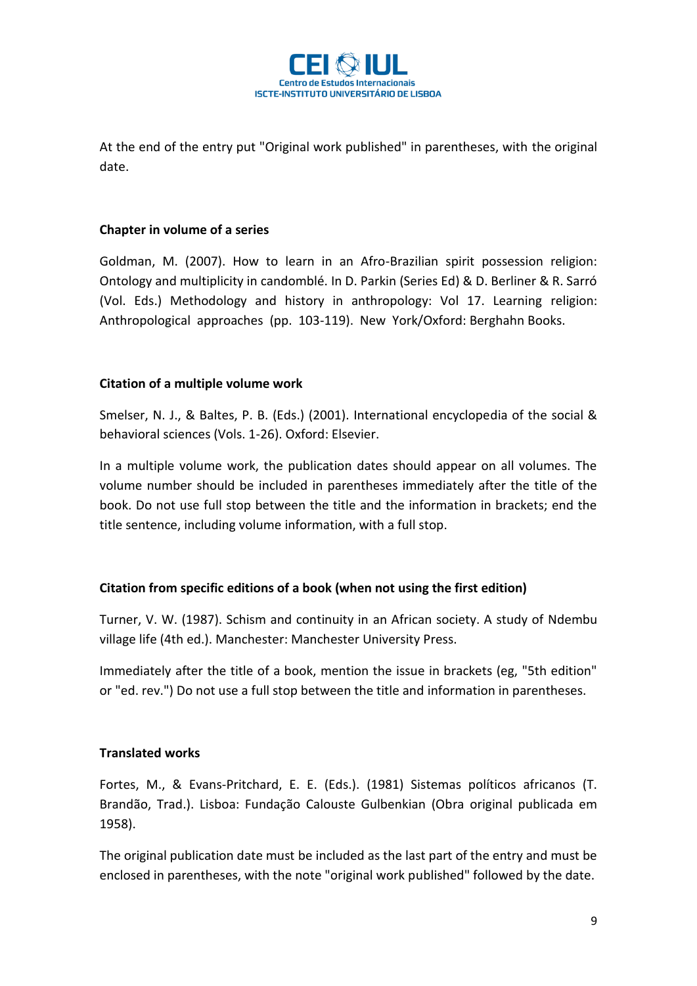

At the end of the entry put "Original work published" in parentheses, with the original date.

### **Chapter in volume of a series**

Goldman, M. (2007). How to learn in an Afro-Brazilian spirit possession religion: Ontology and multiplicity in candomblé. In D. Parkin (Series Ed) & D. Berliner & R. Sarró (Vol. Eds.) Methodology and history in anthropology: Vol 17. Learning religion: Anthropological approaches (pp. 103-119). New York/Oxford: Berghahn Books.

## **Citation of a multiple volume work**

Smelser, N. J., & Baltes, P. B. (Eds.) (2001). International encyclopedia of the social & behavioral sciences (Vols. 1-26). Oxford: Elsevier.

In a multiple volume work, the publication dates should appear on all volumes. The volume number should be included in parentheses immediately after the title of the book. Do not use full stop between the title and the information in brackets; end the title sentence, including volume information, with a full stop.

# **Citation from specific editions of a book (when not using the first edition)**

Turner, V. W. (1987). Schism and continuity in an African society. A study of Ndembu village life (4th ed.). Manchester: Manchester University Press.

Immediately after the title of a book, mention the issue in brackets (eg, "5th edition" or "ed. rev.") Do not use a full stop between the title and information in parentheses.

# **Translated works**

Fortes, M., & Evans-Pritchard, E. E. (Eds.). (1981) Sistemas políticos africanos (T. Brandão, Trad.). Lisboa: Fundação Calouste Gulbenkian (Obra original publicada em 1958).

The original publication date must be included as the last part of the entry and must be enclosed in parentheses, with the note "original work published" followed by the date.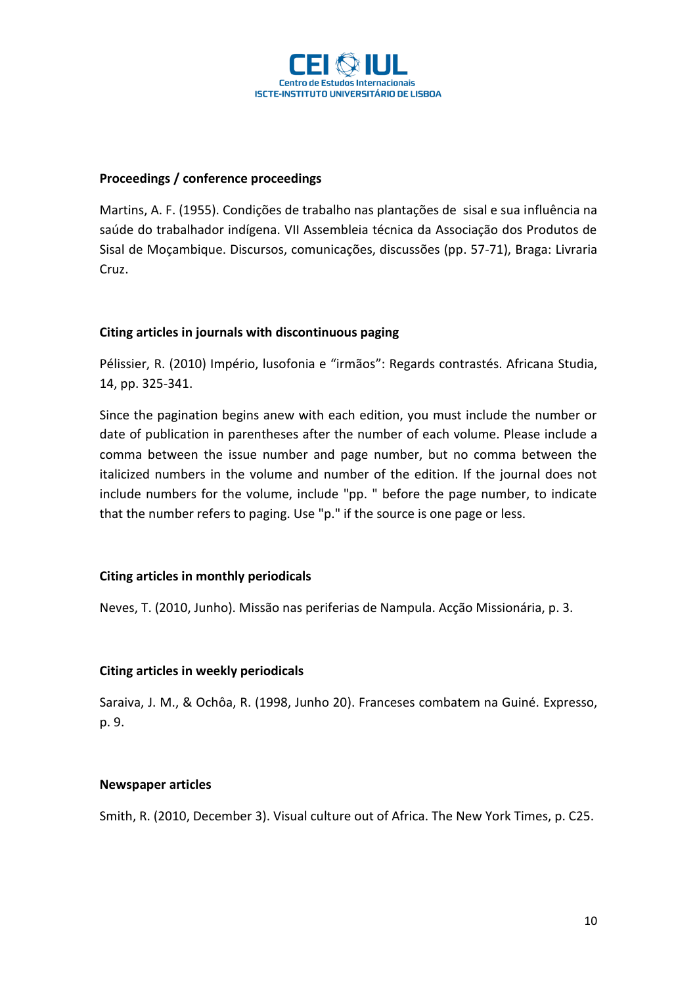

## **Proceedings / conference proceedings**

Martins, A. F. (1955). Condições de trabalho nas plantações de sisal e sua influência na saúde do trabalhador indígena. VII Assembleia técnica da Associação dos Produtos de Sisal de Moçambique. Discursos, comunicações, discussões (pp. 57-71), Braga: Livraria Cruz.

## **Citing articles in journals with discontinuous paging**

Pélissier, R. (2010) Império, lusofonia e "irmãos": Regards contrastés. Africana Studia, 14, pp. 325-341.

Since the pagination begins anew with each edition, you must include the number or date of publication in parentheses after the number of each volume. Please include a comma between the issue number and page number, but no comma between the italicized numbers in the volume and number of the edition. If the journal does not include numbers for the volume, include "pp. " before the page number, to indicate that the number refers to paging. Use "p." if the source is one page or less.

### **Citing articles in monthly periodicals**

Neves, T. (2010, Junho). Missão nas periferias de Nampula. Acção Missionária, p. 3.

### **Citing articles in weekly periodicals**

Saraiva, J. M., & Ochôa, R. (1998, Junho 20). Franceses combatem na Guiné. Expresso, p. 9.

### **Newspaper articles**

Smith, R. (2010, December 3). Visual culture out of Africa. The New York Times, p. C25.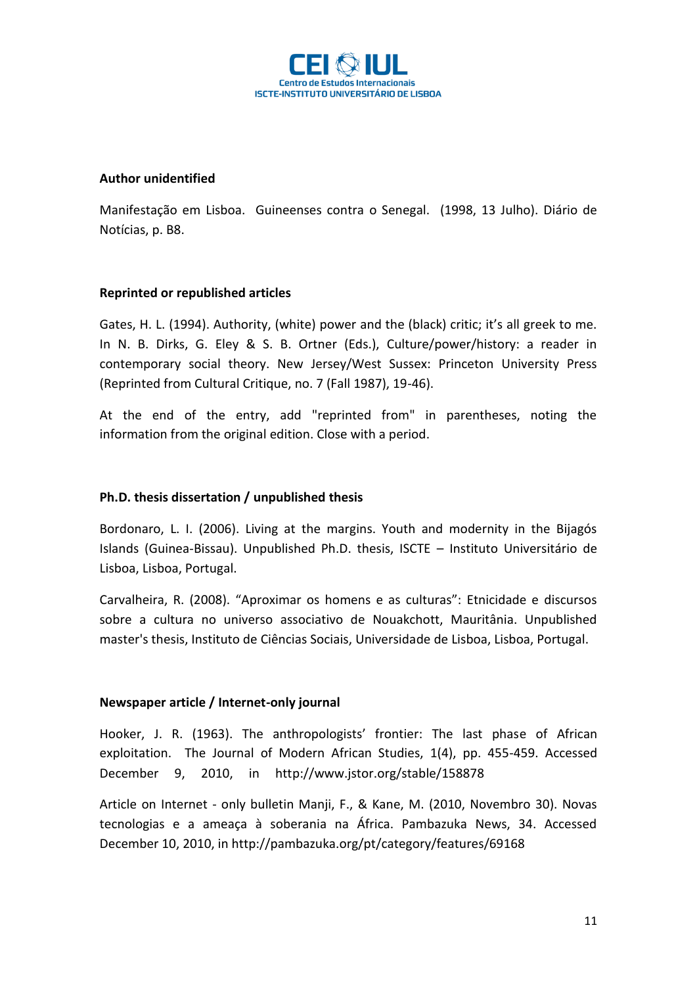

#### **Author unidentified**

Manifestação em Lisboa. Guineenses contra o Senegal. (1998, 13 Julho). Diário de Notícias, p. B8.

### **Reprinted or republished articles**

Gates, H. L. (1994). Authority, (white) power and the (black) critic; it's all greek to me. In N. B. Dirks, G. Eley & S. B. Ortner (Eds.), Culture/power/history: a reader in contemporary social theory. New Jersey/West Sussex: Princeton University Press (Reprinted from Cultural Critique, no. 7 (Fall 1987), 19-46).

At the end of the entry, add "reprinted from" in parentheses, noting the information from the original edition. Close with a period.

### **Ph.D. thesis dissertation / unpublished thesis**

Bordonaro, L. I. (2006). Living at the margins. Youth and modernity in the Bijagós Islands (Guinea-Bissau). Unpublished Ph.D. thesis, ISCTE – Instituto Universitário de Lisboa, Lisboa, Portugal.

Carvalheira, R. (2008). "Aproximar os homens e as culturas": Etnicidade e discursos sobre a cultura no universo associativo de Nouakchott, Mauritânia. Unpublished master's thesis, Instituto de Ciências Sociais, Universidade de Lisboa, Lisboa, Portugal.

### **Newspaper article / Internet-only journal**

Hooker, J. R. (1963). The anthropologists' frontier: The last phase of African exploitation. The Journal of Modern African Studies, 1(4), pp. 455-459. Accessed December 9, 2010, in http://www.jstor.org/stable/158878

Article on Internet - only bulletin Manji, F., & Kane, M. (2010, Novembro 30). Novas tecnologias e a ameaça à soberania na África. Pambazuka News, 34. Accessed December 10, 2010, in http://pambazuka.org/pt/category/features/69168